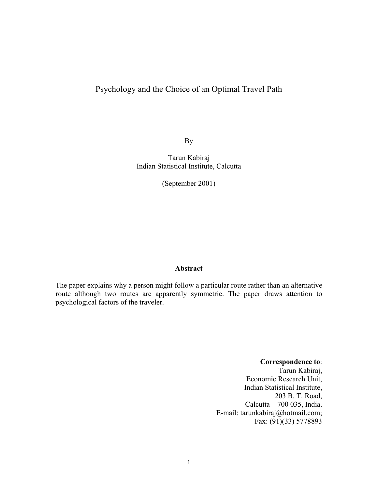# Psychology and the Choice of an Optimal Travel Path

By

Tarun Kabiraj Indian Statistical Institute, Calcutta

(September 2001)

## **Abstract**

The paper explains why a person might follow a particular route rather than an alternative route although two routes are apparently symmetric. The paper draws attention to psychological factors of the traveler.

#### **Correspondence to**:

Tarun Kabiraj, Economic Research Unit, Indian Statistical Institute, 203 B. T. Road, Calcutta – 700 035, India. E-mail: tarunkabiraj@hotmail.com; Fax: (91)(33) 5778893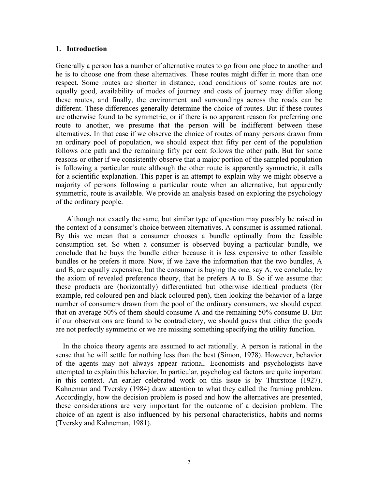#### **1. Introduction**

Generally a person has a number of alternative routes to go from one place to another and he is to choose one from these alternatives. These routes might differ in more than one respect. Some routes are shorter in distance, road conditions of some routes are not equally good, availability of modes of journey and costs of journey may differ along these routes, and finally, the environment and surroundings across the roads can be different. These differences generally determine the choice of routes. But if these routes are otherwise found to be symmetric, or if there is no apparent reason for preferring one route to another, we presume that the person will be indifferent between these alternatives. In that case if we observe the choice of routes of many persons drawn from an ordinary pool of population, we should expect that fifty per cent of the population follows one path and the remaining fifty per cent follows the other path. But for some reasons or other if we consistently observe that a major portion of the sampled population is following a particular route although the other route is apparently symmetric, it calls for a scientific explanation. This paper is an attempt to explain why we might observe a majority of persons following a particular route when an alternative, but apparently symmetric, route is available. We provide an analysis based on exploring the psychology of the ordinary people.

 Although not exactly the same, but similar type of question may possibly be raised in the context of a consumer's choice between alternatives. A consumer is assumed rational. By this we mean that a consumer chooses a bundle optimally from the feasible consumption set. So when a consumer is observed buying a particular bundle, we conclude that he buys the bundle either because it is less expensive to other feasible bundles or he prefers it more. Now, if we have the information that the two bundles, A and B, are equally expensive, but the consumer is buying the one, say A, we conclude, by the axiom of revealed preference theory, that he prefers A to B. So if we assume that these products are (horizontally) differentiated but otherwise identical products (for example, red coloured pen and black coloured pen), then looking the behavior of a large number of consumers drawn from the pool of the ordinary consumers, we should expect that on average 50% of them should consume A and the remaining 50% consume B. But if our observations are found to be contradictory, we should guess that either the goods are not perfectly symmetric or we are missing something specifying the utility function.

 In the choice theory agents are assumed to act rationally. A person is rational in the sense that he will settle for nothing less than the best (Simon, 1978). However, behavior of the agents may not always appear rational. Economists and psychologists have attempted to explain this behavior. In particular, psychological factors are quite important in this context. An earlier celebrated work on this issue is by Thurstone (1927). Kahneman and Tversky (1984) draw attention to what they called the framing problem. Accordingly, how the decision problem is posed and how the alternatives are presented, these considerations are very important for the outcome of a decision problem. The choice of an agent is also influenced by his personal characteristics, habits and norms (Tversky and Kahneman, 1981).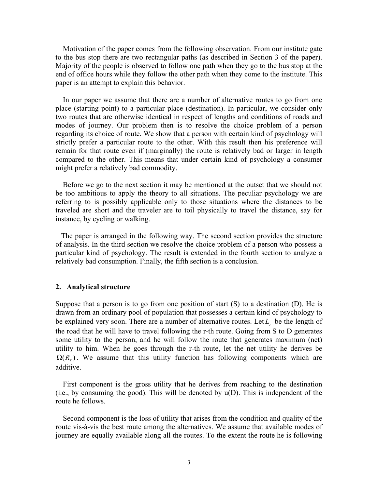Motivation of the paper comes from the following observation. From our institute gate to the bus stop there are two rectangular paths (as described in Section 3 of the paper). Majority of the people is observed to follow one path when they go to the bus stop at the end of office hours while they follow the other path when they come to the institute. This paper is an attempt to explain this behavior.

 In our paper we assume that there are a number of alternative routes to go from one place (starting point) to a particular place (destination). In particular, we consider only two routes that are otherwise identical in respect of lengths and conditions of roads and modes of journey. Our problem then is to resolve the choice problem of a person regarding its choice of route. We show that a person with certain kind of psychology will strictly prefer a particular route to the other. With this result then his preference will remain for that route even if (marginally) the route is relatively bad or larger in length compared to the other. This means that under certain kind of psychology a consumer might prefer a relatively bad commodity.

 Before we go to the next section it may be mentioned at the outset that we should not be too ambitious to apply the theory to all situations. The peculiar psychology we are referring to is possibly applicable only to those situations where the distances to be traveled are short and the traveler are to toil physically to travel the distance, say for instance, by cycling or walking.

 The paper is arranged in the following way. The second section provides the structure of analysis. In the third section we resolve the choice problem of a person who possess a particular kind of psychology. The result is extended in the fourth section to analyze a relatively bad consumption. Finally, the fifth section is a conclusion.

### **2. Analytical structure**

Suppose that a person is to go from one position of start  $(S)$  to a destination  $(D)$ . He is drawn from an ordinary pool of population that possesses a certain kind of psychology to be explained very soon. There are a number of alternative routes. Let  $L_r$  be the length of the road that he will have to travel following the r-th route. Going from S to D generates some utility to the person, and he will follow the route that generates maximum (net) utility to him. When he goes through the r-th route, let the net utility he derives be  $\Omega(R_r)$ . We assume that this utility function has following components which are additive.

 First component is the gross utility that he derives from reaching to the destination  $(i.e., by consuming the good)$ . This will be denoted by  $u(D)$ . This is independent of the route he follows.

 Second component is the loss of utility that arises from the condition and quality of the route vis-à-vis the best route among the alternatives. We assume that available modes of journey are equally available along all the routes. To the extent the route he is following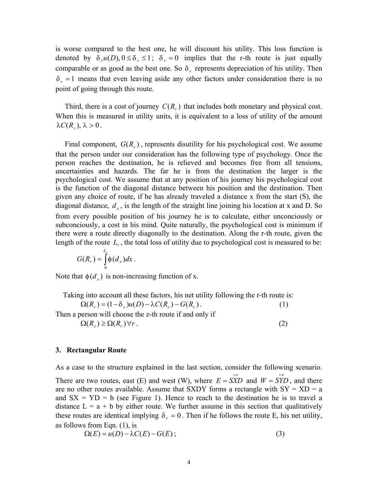is worse compared to the best one, he will discount his utility. This loss function is denoted by  $\delta_{r}u(D)$ ,  $0 \leq \delta_{r} \leq 1$ ;  $\delta_{r} = 0$  implies that the r-th route is just equally comparable or as good as the best one. So  $\delta$ , represents depreciation of his utility. Then  $\delta_r = 1$  means that even leaving aside any other factors under consideration there is no point of going through this route.

Third, there is a cost of journey  $C(R<sub>r</sub>)$  that includes both monetary and physical cost. When this is measured in utility units, it is equivalent to a loss of utility of the amount  $\lambda C(R_r), \lambda > 0$ .

Final component,  $G(R<sub>r</sub>)$ , represents disutility for his psychological cost. We assume that the person under our consideration has the following type of psychology. Once the person reaches the destination, he is relieved and becomes free from all tensions, uncertainties and hazards. The far he is from the destination the larger is the psychological cost. We assume that at any position of his journey his psychological cost is the function of the diagonal distance between his position and the destination. Then given any choice of route, if he has already traveled a distance x from the start (S), the diagonal distance,  $d_x$ , is the length of the straight line joining his location at x and D. So from every possible position of his journey he is to calculate, either unconciously or subconciously, a cost in his mind. Quite naturally, the psychological cost is minimum if there were a route directly diagonally to the destination. Along the r-th route, given the length of the route  $L_r$ , the total loss of utility due to psychological cost is measured to be:

$$
G(R_r) = \int_0^{L_r} \phi(d_x) dx.
$$

Note that  $\phi(d_x)$  is non-increasing function of x.

Taking into account all these factors, his net utility following the r-th route is:

 $\Omega(R_r) = (1 - \delta_r)u(D) - \lambda C(R_r) - G(R_r)$ . (1)

Then a person will choose the z-th route if and only if

 $\Omega(R_z) \geq \Omega(R_r) \forall r$ . (2)

## **3. Rectangular Route**

As a case to the structure explained in the last section, consider the following scenario.

There are two routes, east (E) and west (W), where  $E = \overrightarrow{SXD}$  and  $W = \overrightarrow{STD}$ , and there are no other routes available. Assume that SXDY forms a rectangle with  $SY = KD = a$ and  $SX = YD = b$  (see Figure 1). Hence to reach to the destination he is to travel a distance  $L = a + b$  by either route. We further assume in this section that qualitatively these routes are identical implying  $\delta_r = 0$ . Then if he follows the route E, his net utility, as follows from Eqn. (1), is

$$
\Omega(E) = u(D) - \lambda C(E) - G(E); \tag{3}
$$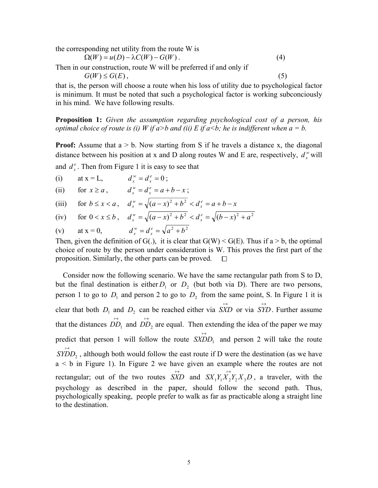the corresponding net utility from the route W is

$$
\Omega(W) = u(D) - \lambda C(W) - G(W).
$$
\nThen in our construction, route W will be preferred if and only if

\n
$$
G(W) \leq G(E),
$$
\n(5)

that is, the person will choose a route when his loss of utility due to psychological factor is minimum. It must be noted that such a psychological factor is working subconciously in his mind. We have following results.

**Proposition 1:** *Given the assumption regarding psychological cost of a person, his optimal choice of route is (i) W if a>b and (ii) E if a<br/>b; he is indifferent when a = b.* 

**Proof:** Assume that  $a > b$ . Now starting from S if he travels a distance x, the diagonal distance between his position at x and D along routes W and E are, respectively,  $d_x^w$  will

and  $d_x^e$ . Then from Figure 1 it is easy to see that

- (i) at  $x = L$ ,  $d_x^w = d_x^e = 0$  $d_x^w = d_x^e = 0$ ;
- (ii) for  $x \ge a$ ,  $d_x^w = d_x^e = a + b x$  $\frac{w}{x} = d_x^e = a + b - x;$
- (iii) for  $b \le x < a$ ,  $d_x^w = \sqrt{(a-x)^2 + b^2} < d_x^e = a+b-x$  $w_x^w = \sqrt{(a-x)^2 + b^2} < d_x^e = a+b-$
- (iv) for  $0 < x \le b$ ,  $d_x^w = \sqrt{(a-x)^2 + b^2} < d_x^e = \sqrt{(b-x)^2 + a^2}$  $w_x^w = \sqrt{(a-x)^2 + b^2} < d_x^e = \sqrt{(b-x)^2 + b^2}$
- (v) at  $x = 0$ ,  $d_x^w = d_x^e = \sqrt{a^2 + b^2}$  $\frac{w}{x} = d_x^e = \sqrt{a^2 + 1}$

Then, given the definition of G(.), it is clear that  $G(W) \le G(E)$ . Thus if  $a > b$ , the optimal choice of route by the person under consideration is W. This proves the first part of the proposition. Similarly, the other parts can be proved.  $\Box$ 

 Consider now the following scenario. We have the same rectangular path from S to D, but the final destination is either  $D_1$  or  $D_2$  (but both via D). There are two persons, person 1 to go to  $D_1$  and person 2 to go to  $D_2$  from the same point, S. In Figure 1 it is clear that both  $D_1$  and  $D_2$  can be reached either via  $S\overleftrightarrow{XD}$  or via  $S\overleftrightarrow{YD}$ . Further assume that the distances  $\overrightarrow{DD}_1$  and  $\overrightarrow{DD}_2$  are equal. Then extending the idea of the paper we may predict that person 1 will follow the route  $S\overleftrightarrow{XDD}_1$  and person 2 will take the route  $\overrightarrow{SYDD}_2$ , although both would follow the east route if D were the destination (as we have a < b in Figure 1). In Figure 2 we have given an example where the routes are not rectangular; out of the two routes  $S\overleftrightarrow{XD}$  and  $S\overleftrightarrow{X_1Y_1X_2Y_2X_3D}$ , a traveler, with the psychology as described in the paper, should follow the second path. Thus, psychologically speaking, people prefer to walk as far as practicable along a straight line to the destination.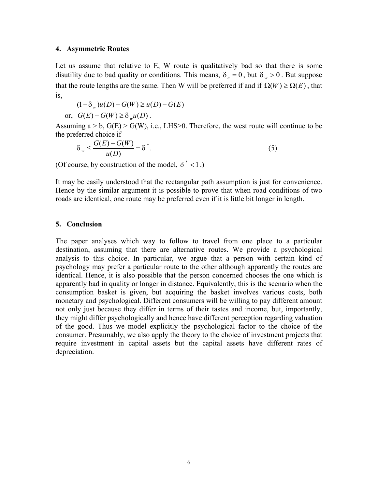#### **4. Asymmetric Routes**

Let us assume that relative to E, W route is qualitatively bad so that there is some disutility due to bad quality or conditions. This means,  $\delta_e = 0$ , but  $\delta_w > 0$ . But suppose that the route lengths are the same. Then W will be preferred if and if  $\Omega(W) \ge \Omega(E)$ , that is,

$$
(1 - \delta_w)u(D) - G(W) \ge u(D) - G(E)
$$
  
or,  $G(E) - G(W) \ge \delta_w u(D)$ .

Assuming  $a > b$ ,  $G(E) > G(W)$ , i.e., LHS $> 0$ . Therefore, the west route will continue to be the preferred choice if

$$
\delta_w \le \frac{G(E) - G(W)}{u(D)} = \delta^*.
$$
\n(5)

(Of course, by construction of the model,  $\delta^*$  < 1.)

It may be easily understood that the rectangular path assumption is just for convenience. Hence by the similar argument it is possible to prove that when road conditions of two roads are identical, one route may be preferred even if it is little bit longer in length.

## **5. Conclusion**

The paper analyses which way to follow to travel from one place to a particular destination, assuming that there are alternative routes. We provide a psychological analysis to this choice. In particular, we argue that a person with certain kind of psychology may prefer a particular route to the other although apparently the routes are identical. Hence, it is also possible that the person concerned chooses the one which is apparently bad in quality or longer in distance. Equivalently, this is the scenario when the consumption basket is given, but acquiring the basket involves various costs, both monetary and psychological. Different consumers will be willing to pay different amount not only just because they differ in terms of their tastes and income, but, importantly, they might differ psychologically and hence have different perception regarding valuation of the good. Thus we model explicitly the psychological factor to the choice of the consumer. Presumably, we also apply the theory to the choice of investment projects that require investment in capital assets but the capital assets have different rates of depreciation.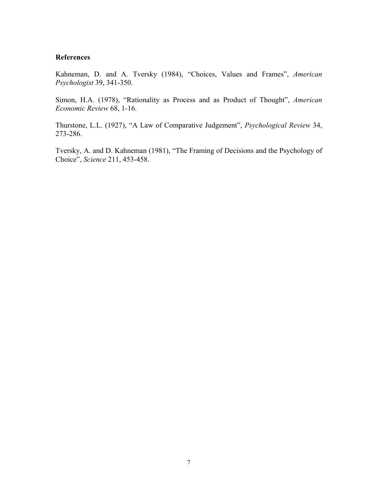#### **References**

Kahneman, D. and A. Tversky (1984), "Choices, Values and Frames", *American Psychologist* 39, 341-350.

Simon, H.A. (1978), "Rationality as Process and as Product of Thought", *American Economic Review* 68, 1-16.

Thurstone, L.L. (1927), "A Law of Comparative Judgement", *Psychological Review* 34, 273-286.

Tversky, A. and D. Kahneman (1981), "The Framing of Decisions and the Psychology of Choice", *Science* 211, 453-458.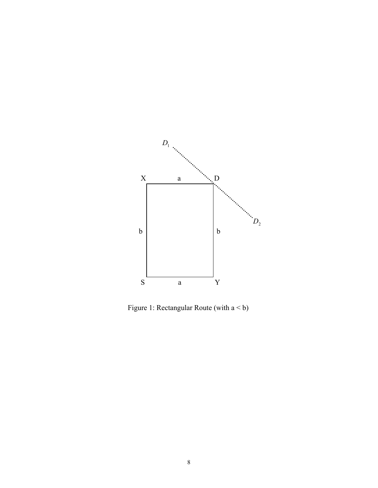

Figure 1: Rectangular Route (with a < b)